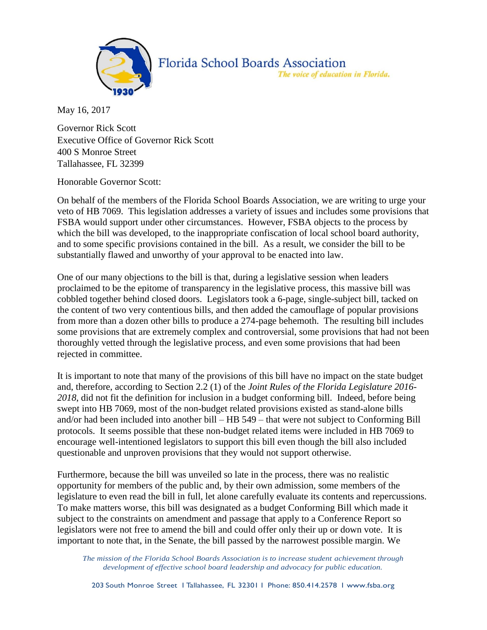

## Florida School Boards Association The voice of education in Florida.

May 16, 2017

Governor Rick Scott Executive Office of Governor Rick Scott 400 S Monroe Street Tallahassee, FL 32399

Honorable Governor Scott:

On behalf of the members of the Florida School Boards Association, we are writing to urge your veto of HB 7069. This legislation addresses a variety of issues and includes some provisions that FSBA would support under other circumstances. However, FSBA objects to the process by which the bill was developed, to the inappropriate confiscation of local school board authority, and to some specific provisions contained in the bill. As a result, we consider the bill to be substantially flawed and unworthy of your approval to be enacted into law.

One of our many objections to the bill is that, during a legislative session when leaders proclaimed to be the epitome of transparency in the legislative process, this massive bill was cobbled together behind closed doors. Legislators took a 6-page, single-subject bill, tacked on the content of two very contentious bills, and then added the camouflage of popular provisions from more than a dozen other bills to produce a 274-page behemoth. The resulting bill includes some provisions that are extremely complex and controversial, some provisions that had not been thoroughly vetted through the legislative process, and even some provisions that had been rejected in committee.

It is important to note that many of the provisions of this bill have no impact on the state budget and, therefore, according to Section 2.2 (1) of the *Joint Rules of the Florida Legislature 2016- 2018*, did not fit the definition for inclusion in a budget conforming bill. Indeed, before being swept into HB 7069, most of the non-budget related provisions existed as stand-alone bills and/or had been included into another bill – HB 549 – that were not subject to Conforming Bill protocols. It seems possible that these non-budget related items were included in HB 7069 to encourage well-intentioned legislators to support this bill even though the bill also included questionable and unproven provisions that they would not support otherwise.

Furthermore, because the bill was unveiled so late in the process, there was no realistic opportunity for members of the public and, by their own admission, some members of the legislature to even read the bill in full, let alone carefully evaluate its contents and repercussions. To make matters worse, this bill was designated as a budget Conforming Bill which made it subject to the constraints on amendment and passage that apply to a Conference Report so legislators were not free to amend the bill and could offer only their up or down vote. It is important to note that, in the Senate, the bill passed by the narrowest possible margin. We

*The mission of the Florida School Boards Association is to increase student achievement through development of effective school board leadership and advocacy for public education.*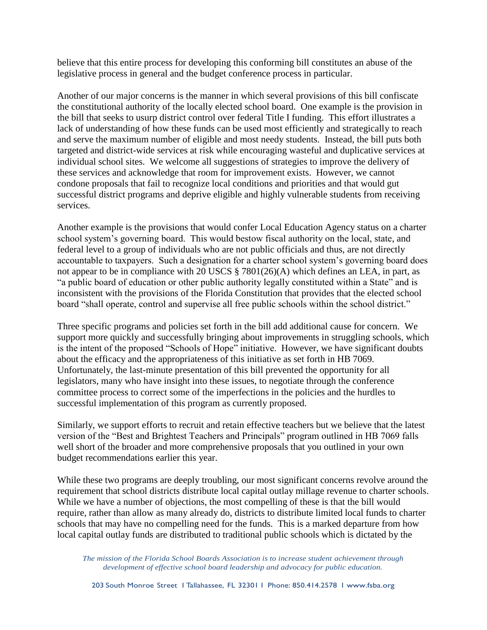believe that this entire process for developing this conforming bill constitutes an abuse of the legislative process in general and the budget conference process in particular.

Another of our major concerns is the manner in which several provisions of this bill confiscate the constitutional authority of the locally elected school board. One example is the provision in the bill that seeks to usurp district control over federal Title I funding. This effort illustrates a lack of understanding of how these funds can be used most efficiently and strategically to reach and serve the maximum number of eligible and most needy students. Instead, the bill puts both targeted and district-wide services at risk while encouraging wasteful and duplicative services at individual school sites. We welcome all suggestions of strategies to improve the delivery of these services and acknowledge that room for improvement exists. However, we cannot condone proposals that fail to recognize local conditions and priorities and that would gut successful district programs and deprive eligible and highly vulnerable students from receiving services.

Another example is the provisions that would confer Local Education Agency status on a charter school system's governing board. This would bestow fiscal authority on the local, state, and federal level to a group of individuals who are not public officials and thus, are not directly accountable to taxpayers. Such a designation for a charter school system's governing board does not appear to be in compliance with 20 USCS § 7801(26)(A) which defines an LEA, in part, as "a public board of education or other public authority legally constituted within a State" and is inconsistent with the provisions of the Florida Constitution that provides that the elected school board "shall operate, control and supervise all free public schools within the school district."

Three specific programs and policies set forth in the bill add additional cause for concern. We support more quickly and successfully bringing about improvements in struggling schools, which is the intent of the proposed "Schools of Hope" initiative. However, we have significant doubts about the efficacy and the appropriateness of this initiative as set forth in HB 7069. Unfortunately, the last-minute presentation of this bill prevented the opportunity for all legislators, many who have insight into these issues, to negotiate through the conference committee process to correct some of the imperfections in the policies and the hurdles to successful implementation of this program as currently proposed.

Similarly, we support efforts to recruit and retain effective teachers but we believe that the latest version of the "Best and Brightest Teachers and Principals" program outlined in HB 7069 falls well short of the broader and more comprehensive proposals that you outlined in your own budget recommendations earlier this year.

While these two programs are deeply troubling, our most significant concerns revolve around the requirement that school districts distribute local capital outlay millage revenue to charter schools. While we have a number of objections, the most compelling of these is that the bill would require, rather than allow as many already do, districts to distribute limited local funds to charter schools that may have no compelling need for the funds. This is a marked departure from how local capital outlay funds are distributed to traditional public schools which is dictated by the

*The mission of the Florida School Boards Association is to increase student achievement through development of effective school board leadership and advocacy for public education.*